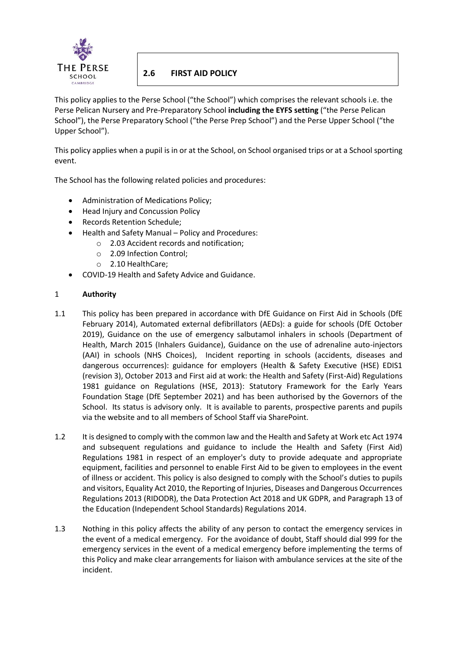

# **2.6 FIRST AID POLICY**

This policy applies to the Perse School ("the School") which comprises the relevant schools i.e. the Perse Pelican Nursery and Pre-Preparatory School **including the EYFS setting** ("the Perse Pelican School"), the Perse Preparatory School ("the Perse Prep School") and the Perse Upper School ("the Upper School").

This policy applies when a pupil is in or at the School, on School organised trips or at a School sporting event.

The School has the following related policies and procedures:

- Administration of Medications Policy;
- Head Injury and Concussion Policy
- Records Retention Schedule;
- Health and Safety Manual Policy and Procedures:
	- o 2.03 Accident records and notification;
	- o 2.09 Infection Control;
	- o 2.10 HealthCare;
- COVID-19 Health and Safety Advice and Guidance.

# 1 **Authority**

- 1.1 This policy has been prepared in accordance with DfE Guidance on First Aid in Schools (DfE February 2014), Automated external defibrillators (AEDs): a guide for schools (DfE October 2019), Guidance on the use of emergency salbutamol inhalers in schools (Department of Health, March 2015 (Inhalers Guidance), Guidance on the use of adrenaline auto-injectors (AAI) in schools (NHS Choices), Incident reporting in schools (accidents, diseases and dangerous occurrences): guidance for employers (Health & Safety Executive (HSE) EDIS1 (revision 3), October 2013 and First aid at work: the Health and Safety (First-Aid) Regulations 1981 guidance on Regulations (HSE, 2013): Statutory Framework for the Early Years Foundation Stage (DfE September 2021) and has been authorised by the Governors of the School. Its status is advisory only. It is available to parents, prospective parents and pupils via the website and to all members of School Staff via SharePoint.
- 1.2 It is designed to comply with the common law and the Health and Safety at Work etc Act 1974 and subsequent regulations and guidance to include the Health and Safety (First Aid) Regulations 1981 in respect of an employer's duty to provide adequate and appropriate equipment, facilities and personnel to enable First Aid to be given to employees in the event of illness or accident. This policy is also designed to comply with the School's duties to pupils and visitors, Equality Act 2010, the Reporting of Injuries, Diseases and Dangerous Occurrences Regulations 2013 (RIDODR), the Data Protection Act 2018 and UK GDPR, and Paragraph 13 of the Education (Independent School Standards) Regulations 2014.
- 1.3 Nothing in this policy affects the ability of any person to contact the emergency services in the event of a medical emergency. For the avoidance of doubt, Staff should dial 999 for the emergency services in the event of a medical emergency before implementing the terms of this Policy and make clear arrangements for liaison with ambulance services at the site of the incident.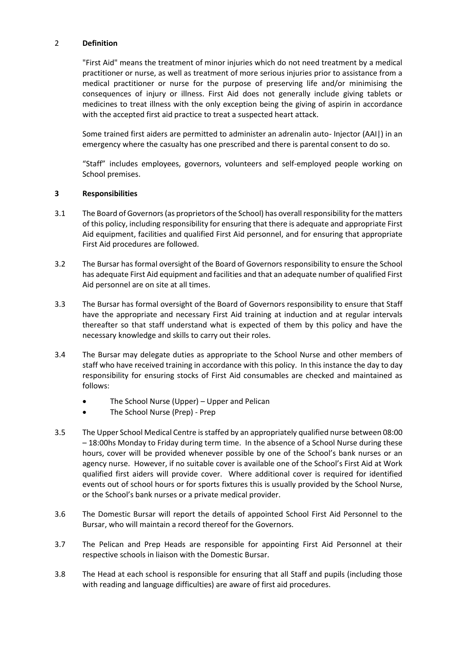# 2 **Definition**

"First Aid" means the treatment of minor injuries which do not need treatment by a medical practitioner or nurse, as well as treatment of more serious injuries prior to assistance from a medical practitioner or nurse for the purpose of preserving life and/or minimising the consequences of injury or illness. First Aid does not generally include giving tablets or medicines to treat illness with the only exception being the giving of aspirin in accordance with the accepted first aid practice to treat a suspected heart attack.

Some trained first aiders are permitted to administer an adrenalin auto- Injector (AAI|) in an emergency where the casualty has one prescribed and there is parental consent to do so.

"Staff" includes employees, governors, volunteers and self-employed people working on School premises.

#### **3 Responsibilities**

- 3.1 The Board of Governors(as proprietors of the School) has overall responsibility for the matters of this policy, including responsibility for ensuring that there is adequate and appropriate First Aid equipment, facilities and qualified First Aid personnel, and for ensuring that appropriate First Aid procedures are followed.
- 3.2 The Bursar has formal oversight of the Board of Governors responsibility to ensure the School has adequate First Aid equipment and facilities and that an adequate number of qualified First Aid personnel are on site at all times.
- 3.3 The Bursar has formal oversight of the Board of Governors responsibility to ensure that Staff have the appropriate and necessary First Aid training at induction and at regular intervals thereafter so that staff understand what is expected of them by this policy and have the necessary knowledge and skills to carry out their roles.
- 3.4 The Bursar may delegate duties as appropriate to the School Nurse and other members of staff who have received training in accordance with this policy. In this instance the day to day responsibility for ensuring stocks of First Aid consumables are checked and maintained as follows:
	- The School Nurse (Upper) Upper and Pelican
	- The School Nurse (Prep) Prep
- 3.5 The Upper School Medical Centre is staffed by an appropriately qualified nurse between 08:00 – 18:00hs Monday to Friday during term time. In the absence of a School Nurse during these hours, cover will be provided whenever possible by one of the School's bank nurses or an agency nurse. However, if no suitable cover is available one of the School's First Aid at Work qualified first aiders will provide cover. Where additional cover is required for identified events out of school hours or for sports fixtures this is usually provided by the School Nurse, or the School's bank nurses or a private medical provider.
- 3.6 The Domestic Bursar will report the details of appointed School First Aid Personnel to the Bursar, who will maintain a record thereof for the Governors.
- 3.7 The Pelican and Prep Heads are responsible for appointing First Aid Personnel at their respective schools in liaison with the Domestic Bursar.
- 3.8 The Head at each school is responsible for ensuring that all Staff and pupils (including those with reading and language difficulties) are aware of first aid procedures.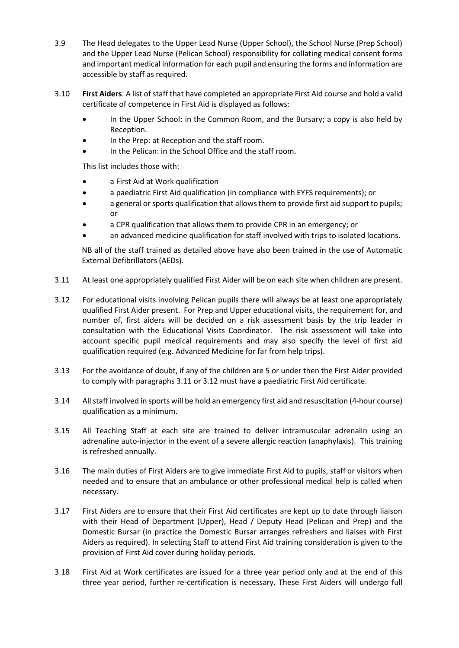- 3.9 The Head delegates to the Upper Lead Nurse (Upper School), the School Nurse (Prep School) and the Upper Lead Nurse (Pelican School) responsibility for collating medical consent forms and important medical information for each pupil and ensuring the forms and information are accessible by staff as required.
- 3.10 **First Aiders**: A list of staff that have completed an appropriate First Aid course and hold a valid certificate of competence in First Aid is displayed as follows:
	- In the Upper School: in the Common Room, and the Bursary; a copy is also held by Reception.
	- In the Prep: at Reception and the staff room.
	- In the Pelican: in the School Office and the staff room.

This list includes those with:

- a First Aid at Work qualification
- a paediatric First Aid qualification (in compliance with EYFS requirements); or
- a general or sports qualification that allows them to provide first aid support to pupils; or
- a CPR qualification that allows them to provide CPR in an emergency; or
- an advanced medicine qualification for staff involved with trips to isolated locations.

NB all of the staff trained as detailed above have also been trained in the use of Automatic External Defibrillators (AEDs).

- 3.11 At least one appropriately qualified First Aider will be on each site when children are present.
- 3.12 For educational visits involving Pelican pupils there will always be at least one appropriately qualified First Aider present. For Prep and Upper educational visits, the requirement for, and number of, first aiders will be decided on a risk assessment basis by the trip leader in consultation with the Educational Visits Coordinator. The risk assessment will take into account specific pupil medical requirements and may also specify the level of first aid qualification required (e.g. Advanced Medicine for far from help trips).
- 3.13 For the avoidance of doubt, if any of the children are 5 or under then the First Aider provided to comply with paragraphs 3.11 or 3.12 must have a paediatric First Aid certificate.
- 3.14 All staff involved in sports will be hold an emergency first aid and resuscitation (4-hour course) qualification as a minimum.
- 3.15 All Teaching Staff at each site are trained to deliver intramuscular adrenalin using an adrenaline auto-injector in the event of a severe allergic reaction (anaphylaxis). This training is refreshed annually.
- 3.16 The main duties of First Aiders are to give immediate First Aid to pupils, staff or visitors when needed and to ensure that an ambulance or other professional medical help is called when necessary.
- 3.17 First Aiders are to ensure that their First Aid certificates are kept up to date through liaison with their Head of Department (Upper), Head / Deputy Head (Pelican and Prep) and the Domestic Bursar (in practice the Domestic Bursar arranges refreshers and liaises with First Aiders as required). In selecting Staff to attend First Aid training consideration is given to the provision of First Aid cover during holiday periods.
- 3.18 First Aid at Work certificates are issued for a three year period only and at the end of this three year period, further re-certification is necessary. These First Aiders will undergo full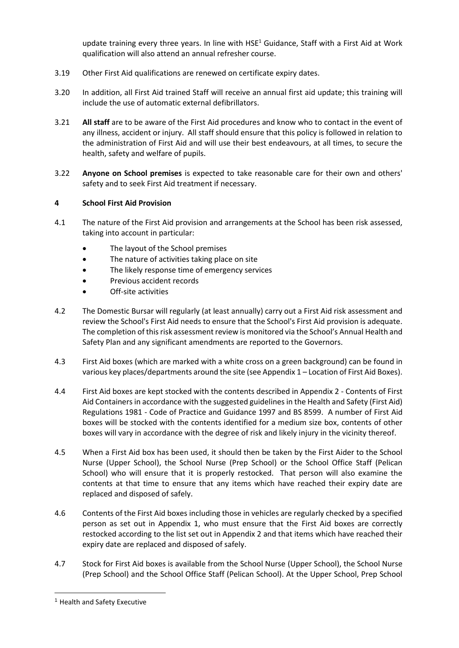update training every three years. In line with HSE<sup>1</sup> Guidance, Staff with a First Aid at Work qualification will also attend an annual refresher course.

- 3.19 Other First Aid qualifications are renewed on certificate expiry dates.
- 3.20 In addition, all First Aid trained Staff will receive an annual first aid update; this training will include the use of automatic external defibrillators.
- 3.21 **All staff** are to be aware of the First Aid procedures and know who to contact in the event of any illness, accident or injury. All staff should ensure that this policy is followed in relation to the administration of First Aid and will use their best endeavours, at all times, to secure the health, safety and welfare of pupils.
- 3.22 **Anyone on School premises** is expected to take reasonable care for their own and others' safety and to seek First Aid treatment if necessary.

# **4 School First Aid Provision**

- 4.1 The nature of the First Aid provision and arrangements at the School has been risk assessed, taking into account in particular:
	- The layout of the School premises
	- The nature of activities taking place on site
	- The likely response time of emergency services
	- Previous accident records
	- Off-site activities
- 4.2 The Domestic Bursar will regularly (at least annually) carry out a First Aid risk assessment and review the School's First Aid needs to ensure that the School's First Aid provision is adequate. The completion of this risk assessment review is monitored via the School's Annual Health and Safety Plan and any significant amendments are reported to the Governors.
- 4.3 First Aid boxes (which are marked with a white cross on a green background) can be found in various key places/departments around the site (see Appendix 1 – Location of First Aid Boxes).
- 4.4 First Aid boxes are kept stocked with the contents described in Appendix 2 Contents of First Aid Containers in accordance with the suggested guidelines in the Health and Safety (First Aid) Regulations 1981 - Code of Practice and Guidance 1997 and BS 8599. A number of First Aid boxes will be stocked with the contents identified for a medium size box, contents of other boxes will vary in accordance with the degree of risk and likely injury in the vicinity thereof.
- 4.5 When a First Aid box has been used, it should then be taken by the First Aider to the School Nurse (Upper School), the School Nurse (Prep School) or the School Office Staff (Pelican School) who will ensure that it is properly restocked. That person will also examine the contents at that time to ensure that any items which have reached their expiry date are replaced and disposed of safely.
- 4.6 Contents of the First Aid boxes including those in vehicles are regularly checked by a specified person as set out in Appendix 1, who must ensure that the First Aid boxes are correctly restocked according to the list set out in Appendix 2 and that items which have reached their expiry date are replaced and disposed of safely.
- 4.7 Stock for First Aid boxes is available from the School Nurse (Upper School), the School Nurse (Prep School) and the School Office Staff (Pelican School). At the Upper School, Prep School

 $\overline{a}$ 

<sup>1</sup> Health and Safety Executive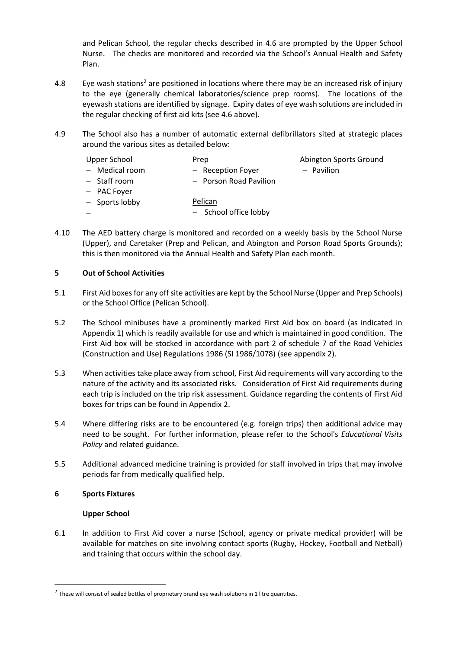and Pelican School, the regular checks described in 4.6 are prompted by the Upper School Nurse. The checks are monitored and recorded via the School's Annual Health and Safety Plan.

- 4.8 Eye wash stations<sup>2</sup> are positioned in locations where there may be an increased risk of injury to the eye (generally chemical laboratories/science prep rooms). The locations of the eyewash stations are identified by signage. Expiry dates of eye wash solutions are included in the regular checking of first aid kits (see 4.6 above).
- 4.9 The School also has a number of automatic external defibrillators sited at strategic places around the various sites as detailed below:

| Upper School     | Prep                             | Abington Sports Ground |
|------------------|----------------------------------|------------------------|
| $-$ Medical room | - Reception Foyer                | - Pavilion             |
| - Staff room     | - Porson Road Pavilion           |                        |
| - PAC Foyer      |                                  |                        |
| - Sports lobby   | Pelican<br>- School office lobby |                        |
|                  |                                  |                        |

4.10 The AED battery charge is monitored and recorded on a weekly basis by the School Nurse (Upper), and Caretaker (Prep and Pelican, and Abington and Porson Road Sports Grounds); this is then monitored via the Annual Health and Safety Plan each month.

# **5 Out of School Activities**

- 5.1 First Aid boxes for any off site activities are kept by the School Nurse (Upper and Prep Schools) or the School Office (Pelican School).
- 5.2 The School minibuses have a prominently marked First Aid box on board (as indicated in Appendix 1) which is readily available for use and which is maintained in good condition. The First Aid box will be stocked in accordance with part 2 of schedule 7 of the Road Vehicles (Construction and Use) Regulations 1986 (SI 1986/1078) (see appendix 2).
- 5.3 When activities take place away from school, First Aid requirements will vary according to the nature of the activity and its associated risks. Consideration of First Aid requirements during each trip is included on the trip risk assessment. Guidance regarding the contents of First Aid boxes for trips can be found in Appendix 2.
- 5.4 Where differing risks are to be encountered (e.g. foreign trips) then additional advice may need to be sought. For further information, please refer to the School's *Educational Visits Policy* and related guidance.
- 5.5 Additional advanced medicine training is provided for staff involved in trips that may involve periods far from medically qualified help.

# **6 Sports Fixtures**

 $\overline{a}$ 

# **Upper School**

6.1 In addition to First Aid cover a nurse (School, agency or private medical provider) will be available for matches on site involving contact sports (Rugby, Hockey, Football and Netball) and training that occurs within the school day.

 $^2$  These will consist of sealed bottles of proprietary brand eye wash solutions in 1 litre quantities.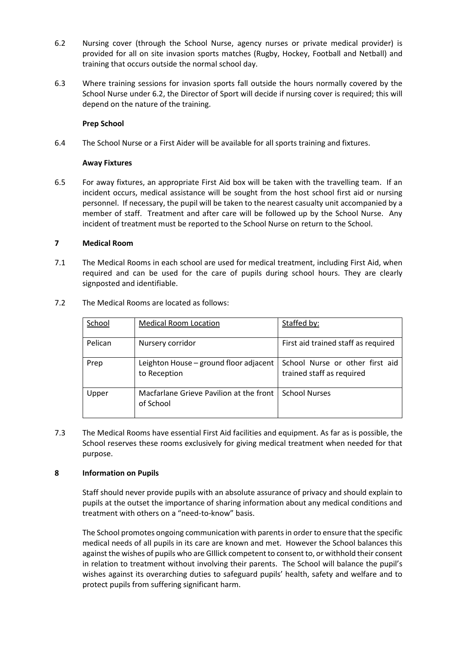- 6.2 Nursing cover (through the School Nurse, agency nurses or private medical provider) is provided for all on site invasion sports matches (Rugby, Hockey, Football and Netball) and training that occurs outside the normal school day.
- 6.3 Where training sessions for invasion sports fall outside the hours normally covered by the School Nurse under 6.2, the Director of Sport will decide if nursing cover is required; this will depend on the nature of the training.

# **Prep School**

6.4 The School Nurse or a First Aider will be available for all sports training and fixtures.

# **Away Fixtures**

6.5 For away fixtures, an appropriate First Aid box will be taken with the travelling team. If an incident occurs, medical assistance will be sought from the host school first aid or nursing personnel. If necessary, the pupil will be taken to the nearest casualty unit accompanied by a member of staff. Treatment and after care will be followed up by the School Nurse. Any incident of treatment must be reported to the School Nurse on return to the School.

# **7 Medical Room**

7.1 The Medical Rooms in each school are used for medical treatment, including First Aid, when required and can be used for the care of pupils during school hours. They are clearly signposted and identifiable.

| School  | <b>Medical Room Location</b>                           | Staffed by:                                                  |
|---------|--------------------------------------------------------|--------------------------------------------------------------|
| Pelican | Nursery corridor                                       | First aid trained staff as required                          |
| Prep    | Leighton House - ground floor adjacent<br>to Reception | School Nurse or other first aid<br>trained staff as required |
| Upper   | Macfarlane Grieve Pavilion at the front<br>of School   | <b>School Nurses</b>                                         |

7.2 The Medical Rooms are located as follows:

7.3 The Medical Rooms have essential First Aid facilities and equipment. As far as is possible, the School reserves these rooms exclusively for giving medical treatment when needed for that purpose.

# **8 Information on Pupils**

Staff should never provide pupils with an absolute assurance of privacy and should explain to pupils at the outset the importance of sharing information about any medical conditions and treatment with others on a "need-to-know" basis.

The School promotes ongoing communication with parents in order to ensure that the specific medical needs of all pupils in its care are known and met. However the School balances this against the wishes of pupils who are GIllick competent to consent to, or withhold their consent in relation to treatment without involving their parents. The School will balance the pupil's wishes against its overarching duties to safeguard pupils' health, safety and welfare and to protect pupils from suffering significant harm.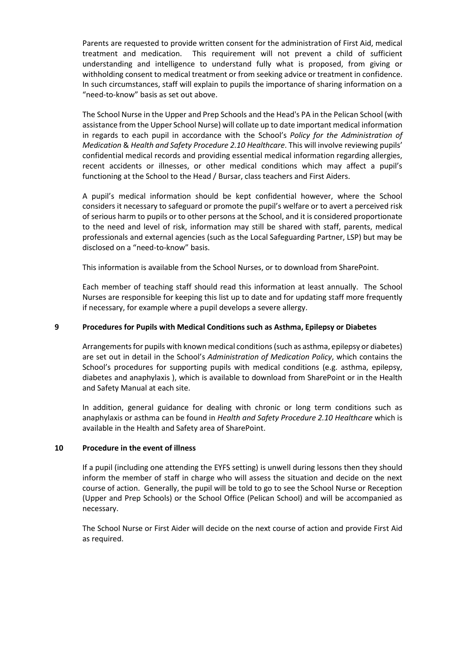Parents are requested to provide written consent for the administration of First Aid, medical treatment and medication. This requirement will not prevent a child of sufficient understanding and intelligence to understand fully what is proposed, from giving or withholding consent to medical treatment or from seeking advice or treatment in confidence. In such circumstances, staff will explain to pupils the importance of sharing information on a "need-to-know" basis as set out above.

The School Nurse in the Upper and Prep Schools and the Head's PA in the Pelican School (with assistance from the Upper School Nurse) will collate up to date important medical information in regards to each pupil in accordance with the School's *Policy for the Administration of Medication* & *Health and Safety Procedure 2.10 Healthcare*. This will involve reviewing pupils' confidential medical records and providing essential medical information regarding allergies, recent accidents or illnesses, or other medical conditions which may affect a pupil's functioning at the School to the Head / Bursar, class teachers and First Aiders.

A pupil's medical information should be kept confidential however, where the School considers it necessary to safeguard or promote the pupil's welfare or to avert a perceived risk of serious harm to pupils or to other persons at the School, and it is considered proportionate to the need and level of risk, information may still be shared with staff, parents, medical professionals and external agencies (such as the Local Safeguarding Partner, LSP) but may be disclosed on a "need-to-know" basis.

This information is available from the School Nurses, or to download from SharePoint.

Each member of teaching staff should read this information at least annually. The School Nurses are responsible for keeping this list up to date and for updating staff more frequently if necessary, for example where a pupil develops a severe allergy.

## **9 Procedures for Pupils with Medical Conditions such as Asthma, Epilepsy or Diabetes**

Arrangements for pupils with known medical conditions (such as asthma, epilepsy or diabetes) are set out in detail in the School's *Administration of Medication Policy*, which contains the School's procedures for supporting pupils with medical conditions (e.g. asthma, epilepsy, diabetes and anaphylaxis ), which is available to download from SharePoint or in the Health and Safety Manual at each site.

In addition, general guidance for dealing with chronic or long term conditions such as anaphylaxis or asthma can be found in *Health and Safety Procedure 2.10 Healthcare* which is available in the Health and Safety area of SharePoint.

#### **10 Procedure in the event of illness**

If a pupil (including one attending the EYFS setting) is unwell during lessons then they should inform the member of staff in charge who will assess the situation and decide on the next course of action. Generally, the pupil will be told to go to see the School Nurse or Reception (Upper and Prep Schools) or the School Office (Pelican School) and will be accompanied as necessary.

The School Nurse or First Aider will decide on the next course of action and provide First Aid as required.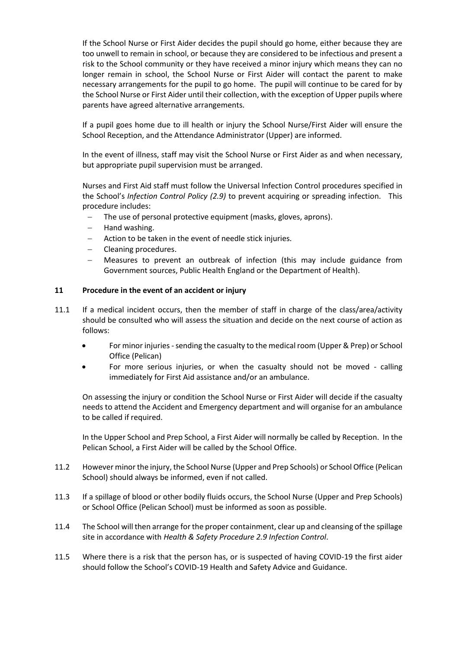If the School Nurse or First Aider decides the pupil should go home, either because they are too unwell to remain in school, or because they are considered to be infectious and present a risk to the School community or they have received a minor injury which means they can no longer remain in school, the School Nurse or First Aider will contact the parent to make necessary arrangements for the pupil to go home. The pupil will continue to be cared for by the School Nurse or First Aider until their collection, with the exception of Upper pupils where parents have agreed alternative arrangements.

If a pupil goes home due to ill health or injury the School Nurse/First Aider will ensure the School Reception, and the Attendance Administrator (Upper) are informed.

In the event of illness, staff may visit the School Nurse or First Aider as and when necessary, but appropriate pupil supervision must be arranged.

Nurses and First Aid staff must follow the Universal Infection Control procedures specified in the School's *Infection Control Policy (2.9)* to prevent acquiring or spreading infection. This procedure includes:

- The use of personal protective equipment (masks, gloves, aprons).
- − Hand washing.
- Action to be taken in the event of needle stick injuries.
- − Cleaning procedures.
- − Measures to prevent an outbreak of infection (this may include guidance from Government sources, Public Health England or the Department of Health).

# **11 Procedure in the event of an accident or injury**

- 11.1 If a medical incident occurs, then the member of staff in charge of the class/area/activity should be consulted who will assess the situation and decide on the next course of action as follows:
	- For minor injuries sending the casualty to the medical room (Upper & Prep) or School Office (Pelican)
	- For more serious injuries, or when the casualty should not be moved calling immediately for First Aid assistance and/or an ambulance.

On assessing the injury or condition the School Nurse or First Aider will decide if the casualty needs to attend the Accident and Emergency department and will organise for an ambulance to be called if required.

In the Upper School and Prep School, a First Aider will normally be called by Reception. In the Pelican School, a First Aider will be called by the School Office.

- 11.2 However minor the injury, the School Nurse (Upper and Prep Schools) or School Office (Pelican School) should always be informed, even if not called.
- 11.3 If a spillage of blood or other bodily fluids occurs, the School Nurse (Upper and Prep Schools) or School Office (Pelican School) must be informed as soon as possible.
- 11.4 The School will then arrange for the proper containment, clear up and cleansing of the spillage site in accordance with *Health & Safety Procedure 2.9 Infection Control*.
- 11.5 Where there is a risk that the person has, or is suspected of having COVID-19 the first aider should follow the School's COVID-19 Health and Safety Advice and Guidance.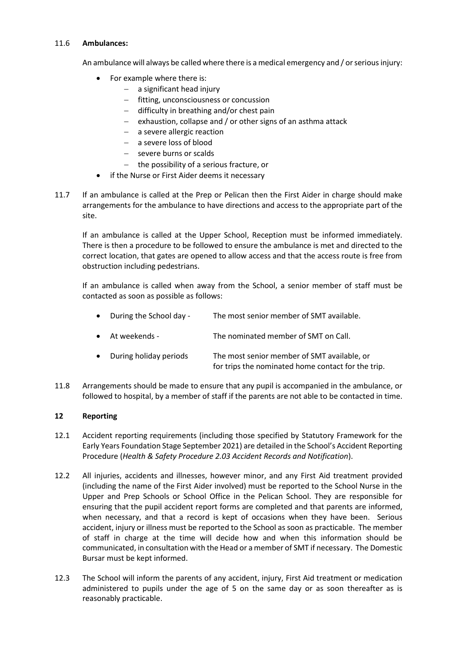# 11.6 **Ambulances:**

An ambulance will always be called where there is a medical emergency and / or serious injury:

- For example where there is:
	- − a significant head injury
	- − fitting, unconsciousness or concussion
	- − difficulty in breathing and/or chest pain
	- − exhaustion, collapse and / or other signs of an asthma attack
	- − a severe allergic reaction
	- − a severe loss of blood
	- − severe burns or scalds
	- − the possibility of a serious fracture, or
- if the Nurse or First Aider deems it necessary
- 11.7 If an ambulance is called at the Prep or Pelican then the First Aider in charge should make arrangements for the ambulance to have directions and access to the appropriate part of the site.

If an ambulance is called at the Upper School, Reception must be informed immediately. There is then a procedure to be followed to ensure the ambulance is met and directed to the correct location, that gates are opened to allow access and that the access route is free from obstruction including pedestrians.

If an ambulance is called when away from the School, a senior member of staff must be contacted as soon as possible as follows:

- During the School day The most senior member of SMT available.
- At weekends The nominated member of SMT on Call.
- During holiday periods The most senior member of SMT available, or for trips the nominated home contact for the trip.
- 11.8 Arrangements should be made to ensure that any pupil is accompanied in the ambulance, or followed to hospital, by a member of staff if the parents are not able to be contacted in time.

# **12 Reporting**

- 12.1 Accident reporting requirements (including those specified by Statutory Framework for the Early Years Foundation Stage September 2021) are detailed in the School's Accident Reporting Procedure (*Health & Safety Procedure 2.03 Accident Records and Notification*).
- 12.2 All injuries, accidents and illnesses, however minor, and any First Aid treatment provided (including the name of the First Aider involved) must be reported to the School Nurse in the Upper and Prep Schools or School Office in the Pelican School. They are responsible for ensuring that the pupil accident report forms are completed and that parents are informed, when necessary, and that a record is kept of occasions when they have been. Serious accident, injury or illness must be reported to the School as soon as practicable. The member of staff in charge at the time will decide how and when this information should be communicated, in consultation with the Head or a member of SMT if necessary. The Domestic Bursar must be kept informed.
- 12.3 The School will inform the parents of any accident, injury, First Aid treatment or medication administered to pupils under the age of 5 on the same day or as soon thereafter as is reasonably practicable.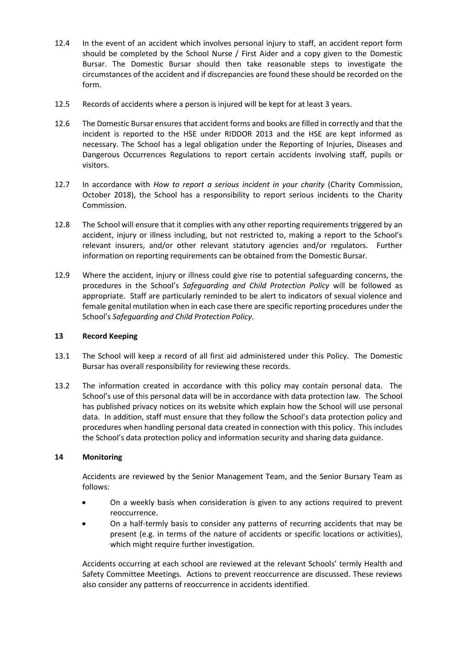- 12.4 In the event of an accident which involves personal injury to staff, an accident report form should be completed by the School Nurse / First Aider and a copy given to the Domestic Bursar. The Domestic Bursar should then take reasonable steps to investigate the circumstances of the accident and if discrepancies are found these should be recorded on the form.
- 12.5 Records of accidents where a person is injured will be kept for at least 3 years.
- 12.6 The Domestic Bursar ensures that accident forms and books are filled in correctly and that the incident is reported to the HSE under RIDDOR 2013 and the HSE are kept informed as necessary. The School has a legal obligation under the Reporting of Injuries, Diseases and Dangerous Occurrences Regulations to report certain accidents involving staff, pupils or visitors.
- 12.7 In accordance with *How to report a serious incident in your charity* (Charity Commission, October 2018), the School has a responsibility to report serious incidents to the Charity Commission.
- 12.8 The School will ensure that it complies with any other reporting requirements triggered by an accident, injury or illness including, but not restricted to, making a report to the School's relevant insurers, and/or other relevant statutory agencies and/or regulators. Further information on reporting requirements can be obtained from the Domestic Bursar.
- 12.9 Where the accident, injury or illness could give rise to potential safeguarding concerns, the procedures in the School's *Safeguarding and Child Protection Policy* will be followed as appropriate. Staff are particularly reminded to be alert to indicators of sexual violence and female genital mutilation when in each case there are specific reporting procedures under the School's *Safeguarding and Child Protection Policy*.

# **13 Record Keeping**

- 13.1 The School will keep a record of all first aid administered under this Policy. The Domestic Bursar has overall responsibility for reviewing these records.
- 13.2 The information created in accordance with this policy may contain personal data. The School's use of this personal data will be in accordance with data protection law. The School has published privacy notices on its website which explain how the School will use personal data. In addition, staff must ensure that they follow the School's data protection policy and procedures when handling personal data created in connection with this policy. This includes the School's data protection policy and information security and sharing data guidance.

# **14 Monitoring**

Accidents are reviewed by the Senior Management Team, and the Senior Bursary Team as follows:

- On a weekly basis when consideration is given to any actions required to prevent reoccurrence.
- On a half-termly basis to consider any patterns of recurring accidents that may be present (e.g. in terms of the nature of accidents or specific locations or activities), which might require further investigation.

Accidents occurring at each school are reviewed at the relevant Schools' termly Health and Safety Committee Meetings. Actions to prevent reoccurrence are discussed. These reviews also consider any patterns of reoccurrence in accidents identified.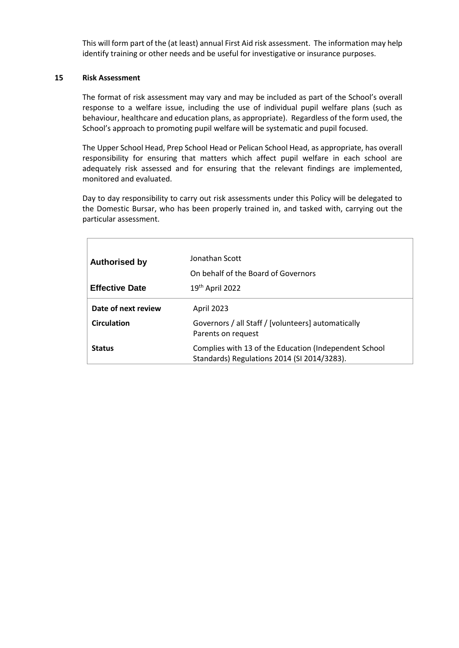This will form part of the (at least) annual First Aid risk assessment. The information may help identify training or other needs and be useful for investigative or insurance purposes.

#### **15 Risk Assessment**

The format of risk assessment may vary and may be included as part of the School's overall response to a welfare issue, including the use of individual pupil welfare plans (such as behaviour, healthcare and education plans, as appropriate). Regardless of the form used, the School's approach to promoting pupil welfare will be systematic and pupil focused.

The Upper School Head, Prep School Head or Pelican School Head, as appropriate, has overall responsibility for ensuring that matters which affect pupil welfare in each school are adequately risk assessed and for ensuring that the relevant findings are implemented, monitored and evaluated.

Day to day responsibility to carry out risk assessments under this Policy will be delegated to the Domestic Bursar, who has been properly trained in, and tasked with, carrying out the particular assessment.

| <b>Authorised by</b>  | Jonathan Scott<br>On behalf of the Board of Governors                                                |
|-----------------------|------------------------------------------------------------------------------------------------------|
| <b>Effective Date</b> | 19th April 2022                                                                                      |
| Date of next review   | <b>April 2023</b>                                                                                    |
| <b>Circulation</b>    | Governors / all Staff / [volunteers] automatically<br>Parents on request                             |
| <b>Status</b>         | Complies with 13 of the Education (Independent School<br>Standards) Regulations 2014 (SI 2014/3283). |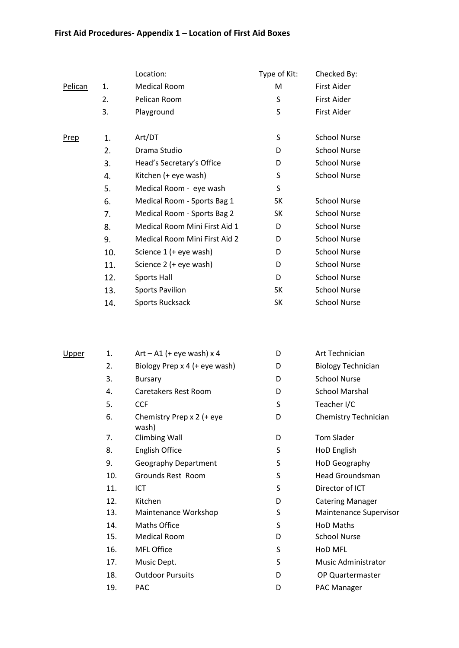# **First Aid Procedures- Appendix 1 – Location of First Aid Boxes**

|             |     | Location:                     | <u>Type of Kit:</u> | Checked By:         |
|-------------|-----|-------------------------------|---------------------|---------------------|
| Pelican     | 1.  | <b>Medical Room</b>           | M                   | First Aider         |
|             | 2.  | Pelican Room                  | S                   | First Aider         |
|             | 3.  | Playground                    | S                   | First Aider         |
| <u>Prep</u> | 1.  | Art/DT                        | S                   | <b>School Nurse</b> |
|             | 2.  | Drama Studio                  | D                   | <b>School Nurse</b> |
|             | 3.  | Head's Secretary's Office     | D                   | <b>School Nurse</b> |
|             | 4.  | Kitchen (+ eye wash)          | S                   | <b>School Nurse</b> |
|             | 5.  | Medical Room - eye wash       | S                   |                     |
|             | 6.  | Medical Room - Sports Bag 1   | SK                  | <b>School Nurse</b> |
|             | 7.  | Medical Room - Sports Bag 2   | SK                  | <b>School Nurse</b> |
|             | 8.  | Medical Room Mini First Aid 1 | D                   | <b>School Nurse</b> |
|             | 9.  | Medical Room Mini First Aid 2 | D                   | <b>School Nurse</b> |
|             | 10. | Science 1 (+ eye wash)        | D                   | <b>School Nurse</b> |
|             | 11. | Science 2 (+ eye wash)        | D                   | <b>School Nurse</b> |
|             | 12. | Sports Hall                   | D                   | <b>School Nurse</b> |
|             | 13. | <b>Sports Pavilion</b>        | SK                  | <b>School Nurse</b> |
|             | 14. | <b>Sports Rucksack</b>        | SK                  | <b>School Nurse</b> |

| <u>Upper</u> | 1.  | $Art - A1$ (+ eye wash) x 4        | D | Art Technician             |
|--------------|-----|------------------------------------|---|----------------------------|
|              | 2.  | Biology Prep x 4 (+ eye wash)      | D | <b>Biology Technician</b>  |
|              | 3.  | <b>Bursary</b>                     | D | <b>School Nurse</b>        |
|              | 4.  | Caretakers Rest Room               | D | <b>School Marshal</b>      |
|              | 5.  | <b>CCF</b>                         | S | Teacher I/C                |
|              | 6.  | Chemistry Prep x 2 (+ eye<br>wash) | D | Chemistry Technician       |
|              | 7.  | <b>Climbing Wall</b>               | D | <b>Tom Slader</b>          |
|              | 8.  | English Office                     | S | HoD English                |
|              | 9.  | <b>Geography Department</b>        | S | HoD Geography              |
|              | 10. | Grounds Rest Room                  | S | Head Groundsman            |
|              | 11. | ICT                                | S | Director of ICT            |
|              | 12. | Kitchen                            | D | <b>Catering Manager</b>    |
|              | 13. | Maintenance Workshop               | S | Maintenance Supervisor     |
|              | 14. | Maths Office                       | S | <b>HoD Maths</b>           |
|              | 15. | <b>Medical Room</b>                | D | <b>School Nurse</b>        |
|              | 16. | MFL Office                         | S | HoD MFL                    |
|              | 17. | Music Dept.                        | S | <b>Music Administrator</b> |
|              | 18. | <b>Outdoor Pursuits</b>            | D | OP Quartermaster           |
|              | 19. | PAC                                | D | PAC Manager                |
|              |     |                                    |   |                            |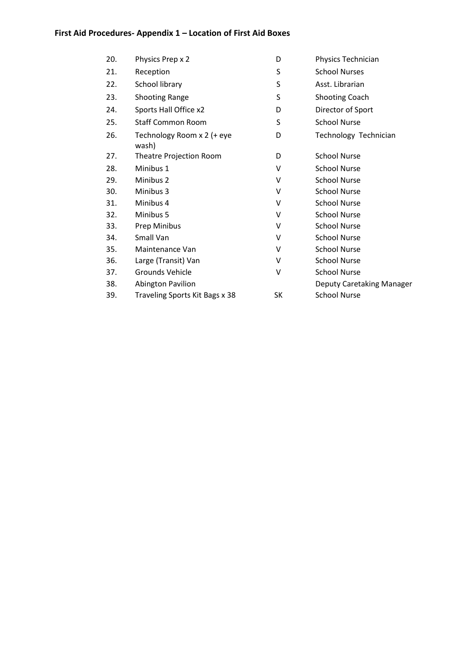# **First Aid Procedures- Appendix 1 – Location of First Aid Boxes**

| 20. | Physics Prep x 2                    | D  | Physics Technician        |
|-----|-------------------------------------|----|---------------------------|
| 21. | Reception                           | S  | <b>School Nurses</b>      |
| 22. | School library                      | S  | Asst. Librarian           |
| 23. | <b>Shooting Range</b>               | S  | <b>Shooting Coach</b>     |
| 24. | Sports Hall Office x2               | D  | Director of Sport         |
| 25. | <b>Staff Common Room</b>            | S  | <b>School Nurse</b>       |
| 26. | Technology Room x 2 (+ eye<br>wash) | D  | Technology Technician     |
| 27. | Theatre Projection Room             | D  | <b>School Nurse</b>       |
| 28. | Minibus 1                           | v  | <b>School Nurse</b>       |
| 29. | Minibus 2                           | v  | <b>School Nurse</b>       |
| 30. | Minibus 3                           | v  | <b>School Nurse</b>       |
| 31. | Minibus 4                           | v  | <b>School Nurse</b>       |
| 32. | Minibus 5                           | v  | <b>School Nurse</b>       |
| 33. | Prep Minibus                        | ٧  | <b>School Nurse</b>       |
| 34. | Small Van                           | V  | <b>School Nurse</b>       |
| 35. | Maintenance Van                     | v  | <b>School Nurse</b>       |
| 36. | Large (Transit) Van                 | v  | <b>School Nurse</b>       |
| 37. | Grounds Vehicle                     | ٧  | <b>School Nurse</b>       |
| 38. | <b>Abington Pavilion</b>            |    | Deputy Caretaking Manager |
| 39. | Traveling Sports Kit Bags x 38      | SK | <b>School Nurse</b>       |
|     |                                     |    |                           |